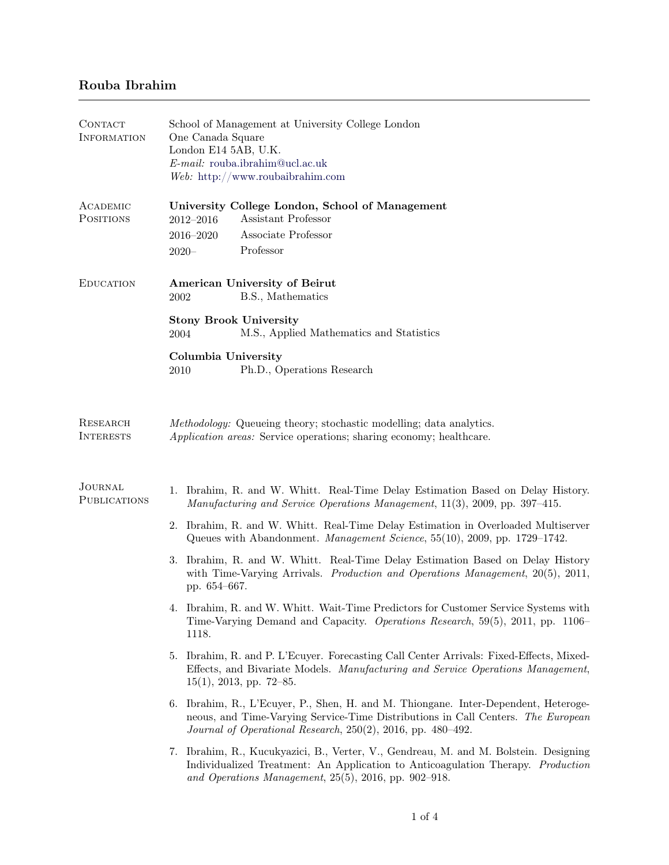# Rouba Ibrahim

| <b>CONTACT</b><br><b>INFORMATION</b>  | School of Management at University College London<br>One Canada Square<br>London E14 5AB, U.K.<br>E-mail: rouba.ibrahim@ucl.ac.uk<br>Web: http://www.roubaibrahim.com                                                                  |  |  |  |
|---------------------------------------|----------------------------------------------------------------------------------------------------------------------------------------------------------------------------------------------------------------------------------------|--|--|--|
| ACADEMIC<br><b>POSITIONS</b>          | University College London, School of Management<br>Assistant Professor<br>2012-2016<br>Associate Professor<br>2016-2020<br>Professor<br>$2020 -$                                                                                       |  |  |  |
| <b>EDUCATION</b>                      | American University of Beirut<br>B.S., Mathematics<br>2002                                                                                                                                                                             |  |  |  |
|                                       | <b>Stony Brook University</b><br>M.S., Applied Mathematics and Statistics<br>2004                                                                                                                                                      |  |  |  |
|                                       | Columbia University<br>Ph.D., Operations Research<br>2010                                                                                                                                                                              |  |  |  |
| RESEARCH<br><b>INTERESTS</b>          | Methodology: Queueing theory; stochastic modelling; data analytics.<br>Application areas: Service operations; sharing economy; healthcare.                                                                                             |  |  |  |
| <b>JOURNAL</b><br><b>PUBLICATIONS</b> | Ibrahim, R. and W. Whitt. Real-Time Delay Estimation Based on Delay History.<br>1.<br>Manufacturing and Service Operations Management, 11(3), 2009, pp. 397–415.                                                                       |  |  |  |
|                                       | 2. Ibrahim, R. and W. Whitt. Real-Time Delay Estimation in Overloaded Multiserver<br>Queues with Abandonment. Management Science, 55(10), 2009, pp. 1729-1742.                                                                         |  |  |  |
|                                       | 3. Ibrahim, R. and W. Whitt. Real-Time Delay Estimation Based on Delay History<br>with Time-Varying Arrivals. Production and Operations Management, $20(5)$ , $2011$ ,<br>pp. 654-667.                                                 |  |  |  |
|                                       | 4. Ibrahim, R. and W. Whitt. Wait-Time Predictors for Customer Service Systems with<br>Time-Varying Demand and Capacity. Operations Research, 59(5), 2011, pp. 1106–<br>1118.                                                          |  |  |  |
|                                       | 5. Ibrahim, R. and P. L'Ecuyer. Forecasting Call Center Arrivals: Fixed-Effects, Mixed-<br>Effects, and Bivariate Models. Manufacturing and Service Operations Management,<br>$15(1)$ , 2013, pp. 72–85.                               |  |  |  |
|                                       | 6. Ibrahim, R., L'Ecuyer, P., Shen, H. and M. Thiongane. Inter-Dependent, Heteroge-<br>neous, and Time-Varying Service-Time Distributions in Call Centers. The European<br>Journal of Operational Research, 250(2), 2016, pp. 480-492. |  |  |  |
|                                       | 7. Ibrahim, R., Kucukyazici, B., Verter, V., Gendreau, M. and M. Bolstein. Designing<br>Individualized Treatment: An Application to Anticoagulation Therapy. Production<br>and Operations Management, 25(5), 2016, pp. 902-918.        |  |  |  |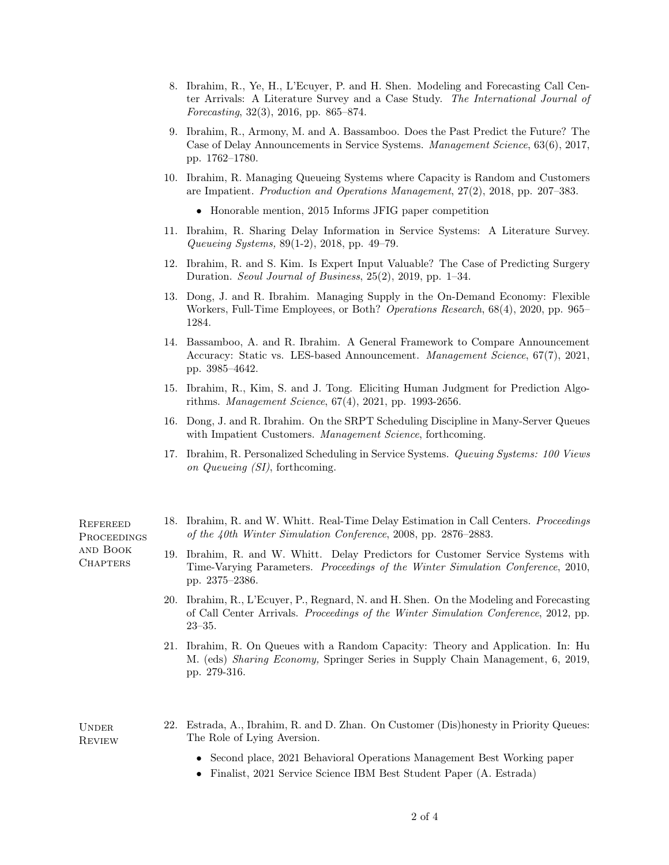- 8. Ibrahim, R., Ye, H., L'Ecuyer, P. and H. Shen. Modeling and Forecasting Call Center Arrivals: A Literature Survey and a Case Study. The International Journal of Forecasting, 32(3), 2016, pp. 865–874.
- 9. Ibrahim, R., Armony, M. and A. Bassamboo. Does the Past Predict the Future? The Case of Delay Announcements in Service Systems. Management Science, 63(6), 2017, pp. 1762–1780.
- 10. Ibrahim, R. Managing Queueing Systems where Capacity is Random and Customers are Impatient. Production and Operations Management, 27(2), 2018, pp. 207–383.
	- Honorable mention, 2015 Informs JFIG paper competition
- 11. Ibrahim, R. Sharing Delay Information in Service Systems: A Literature Survey. Queueing Systems, 89(1-2), 2018, pp. 49–79.
- 12. Ibrahim, R. and S. Kim. Is Expert Input Valuable? The Case of Predicting Surgery Duration. Seoul Journal of Business, 25(2), 2019, pp. 1–34.
- 13. Dong, J. and R. Ibrahim. Managing Supply in the On-Demand Economy: Flexible Workers, Full-Time Employees, or Both? Operations Research, 68(4), 2020, pp. 965– 1284.
- 14. Bassamboo, A. and R. Ibrahim. A General Framework to Compare Announcement Accuracy: Static vs. LES-based Announcement. Management Science, 67(7), 2021, pp. 3985–4642.
- 15. Ibrahim, R., Kim, S. and J. Tong. Eliciting Human Judgment for Prediction Algorithms. Management Science, 67(4), 2021, pp. 1993-2656.
- 16. Dong, J. and R. Ibrahim. On the SRPT Scheduling Discipline in Many-Server Queues with Impatient Customers. Management Science, forthcoming.
- 17. Ibrahim, R. Personalized Scheduling in Service Systems. Queuing Systems: 100 Views on Queueing (SI), forthcoming.

**REFEREED PROCEEDINGS** and Book **CHAPTERS** 

- 18. Ibrahim, R. and W. Whitt. Real-Time Delay Estimation in Call Centers. Proceedings of the 40th Winter Simulation Conference, 2008, pp. 2876–2883.
- 19. Ibrahim, R. and W. Whitt. Delay Predictors for Customer Service Systems with Time-Varying Parameters. Proceedings of the Winter Simulation Conference, 2010, pp. 2375–2386.
- 20. Ibrahim, R., L'Ecuyer, P., Regnard, N. and H. Shen. On the Modeling and Forecasting of Call Center Arrivals. Proceedings of the Winter Simulation Conference, 2012, pp. 23–35.
- 21. Ibrahim, R. On Queues with a Random Capacity: Theory and Application. In: Hu M. (eds) Sharing Economy, Springer Series in Supply Chain Management, 6, 2019, pp. 279-316.

**UNDER REVIEW** 

- 22. Estrada, A., Ibrahim, R. and D. Zhan. On Customer (Dis)honesty in Priority Queues: The Role of Lying Aversion.
	- Second place, 2021 Behavioral Operations Management Best Working paper
	- Finalist, 2021 Service Science IBM Best Student Paper (A. Estrada)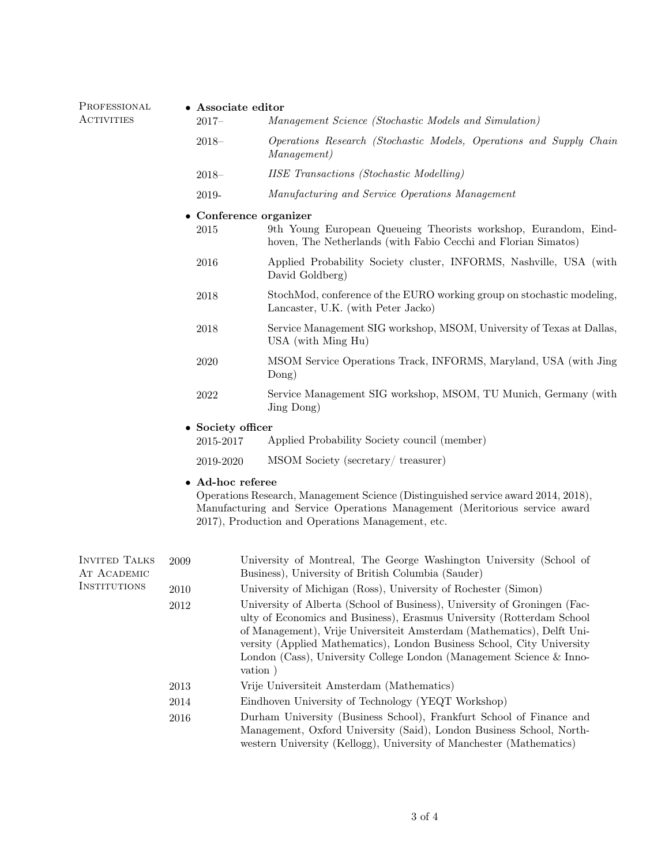PROFESSIONAL **ACTIVITIES** 

## • Associate editor

- 2017– Management Science (Stochastic Models and Simulation)
	- 2018– Operations Research (Stochastic Models, Operations and Supply Chain Management)
	- 2018– IISE Transactions (Stochastic Modelling)
	- 2019- Manufacturing and Service Operations Management

#### • Conference organizer

- 2015 9th Young European Queueing Theorists workshop, Eurandom, Eindhoven, The Netherlands (with Fabio Cecchi and Florian Simatos)
- 2016 Applied Probability Society cluster, INFORMS, Nashville, USA (with David Goldberg)
- 2018 StochMod, conference of the EURO working group on stochastic modeling, Lancaster, U.K. (with Peter Jacko)
- 2018 Service Management SIG workshop, MSOM, University of Texas at Dallas, USA (with Ming Hu)
- 2020 MSOM Service Operations Track, INFORMS, Maryland, USA (with Jing Dong)
- 2022 Service Management SIG workshop, MSOM, TU Munich, Germany (with Jing Dong)

## • Society officer

| 2015-2017 | Applied Probability Society council (member) |  |  |
|-----------|----------------------------------------------|--|--|
|           |                                              |  |  |

### 2019-2020 MSOM Society (secretary/ treasurer)

### • Ad-hoc referee

Operations Research, Management Science (Distinguished service award 2014, 2018), Manufacturing and Service Operations Management (Meritorious service award 2017), Production and Operations Management, etc.

| <b>INVITED TALKS</b><br>AT ACADEMIC<br>INSTITUTIONS | 2009 | University of Montreal, The George Washington University (School of<br>Business), University of British Columbia (Sauder)                                                                                                                                                                                                                                                                 |
|-----------------------------------------------------|------|-------------------------------------------------------------------------------------------------------------------------------------------------------------------------------------------------------------------------------------------------------------------------------------------------------------------------------------------------------------------------------------------|
|                                                     | 2010 | University of Michigan (Ross), University of Rochester (Simon)                                                                                                                                                                                                                                                                                                                            |
|                                                     | 2012 | University of Alberta (School of Business), University of Groningen (Fac-<br>ulty of Economics and Business), Erasmus University (Rotterdam School<br>of Management), Vrije Universiteit Amsterdam (Mathematics), Delft Uni-<br>versity (Applied Mathematics), London Business School, City University<br>London (Cass), University College London (Management Science & Inno-<br>vation) |
|                                                     | 2013 | Vrije Universiteit Amsterdam (Mathematics)                                                                                                                                                                                                                                                                                                                                                |
|                                                     | 2014 | Eindhoven University of Technology (YEQT Workshop)                                                                                                                                                                                                                                                                                                                                        |
|                                                     | 2016 | Durham University (Business School), Frankfurt School of Finance and<br>Management, Oxford University (Said), London Business School, North-<br>western University (Kellogg), University of Manchester (Mathematics)                                                                                                                                                                      |